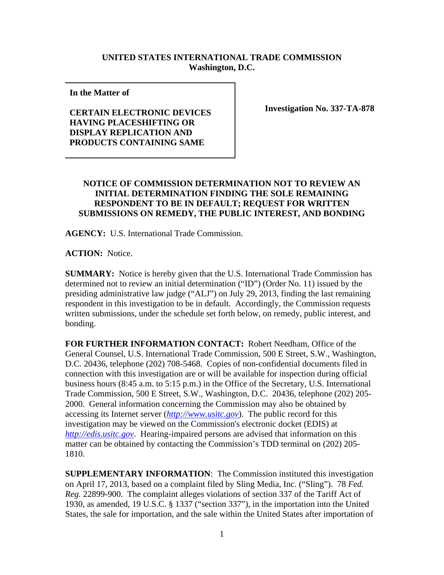## **UNITED STATES INTERNATIONAL TRADE COMMISSION Washington, D.C.**

**In the Matter of** 

## **CERTAIN ELECTRONIC DEVICES HAVING PLACESHIFTING OR DISPLAY REPLICATION AND PRODUCTS CONTAINING SAME**

**Investigation No. 337-TA-878**

## **NOTICE OF COMMISSION DETERMINATION NOT TO REVIEW AN INITIAL DETERMINATION FINDING THE SOLE REMAINING RESPONDENT TO BE IN DEFAULT; REQUEST FOR WRITTEN SUBMISSIONS ON REMEDY, THE PUBLIC INTEREST, AND BONDING**

**AGENCY:** U.S. International Trade Commission.

**ACTION:** Notice.

**SUMMARY:** Notice is hereby given that the U.S. International Trade Commission has determined not to review an initial determination ("ID") (Order No. 11) issued by the presiding administrative law judge ("ALJ") on July 29, 2013, finding the last remaining respondent in this investigation to be in default. Accordingly, the Commission requests written submissions, under the schedule set forth below, on remedy, public interest, and bonding.

**FOR FURTHER INFORMATION CONTACT:** Robert Needham, Office of the General Counsel, U.S. International Trade Commission, 500 E Street, S.W., Washington, D.C. 20436, telephone (202) 708-5468. Copies of non-confidential documents filed in connection with this investigation are or will be available for inspection during official business hours (8:45 a.m. to 5:15 p.m.) in the Office of the Secretary, U.S. International Trade Commission, 500 E Street, S.W., Washington, D.C. 20436, telephone (202) 205- 2000. General information concerning the Commission may also be obtained by accessing its Internet server (*http://www.usitc.gov*). The public record for this investigation may be viewed on the Commission's electronic docket (EDIS) at *http://edis.usitc.gov*. Hearing-impaired persons are advised that information on this matter can be obtained by contacting the Commission's TDD terminal on (202) 205- 1810.

**SUPPLEMENTARY INFORMATION**: The Commission instituted this investigation on April 17, 2013, based on a complaint filed by Sling Media, Inc. ("Sling"). 78 *Fed. Reg.* 22899-900. The complaint alleges violations of section 337 of the Tariff Act of 1930, as amended, 19 U.S.C. § 1337 ("section 337"), in the importation into the United States, the sale for importation, and the sale within the United States after importation of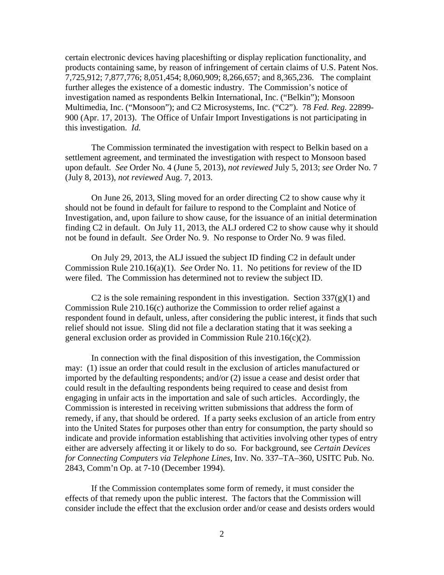certain electronic devices having placeshifting or display replication functionality, and products containing same, by reason of infringement of certain claims of U.S. Patent Nos. 7,725,912; 7,877,776; 8,051,454; 8,060,909; 8,266,657; and 8,365,236. The complaint further alleges the existence of a domestic industry. The Commission's notice of investigation named as respondents Belkin International, Inc. ("Belkin"); Monsoon Multimedia, Inc. ("Monsoon"); and C2 Microsystems, Inc. ("C2"). 78 *Fed. Reg.* 22899- 900 (Apr. 17, 2013). The Office of Unfair Import Investigations is not participating in this investigation. *Id.*

The Commission terminated the investigation with respect to Belkin based on a settlement agreement, and terminated the investigation with respect to Monsoon based upon default. *See* Order No. 4 (June 5, 2013), *not reviewed* July 5, 2013; *see* Order No. 7 (July 8, 2013), *not reviewed* Aug. 7, 2013.

On June 26, 2013, Sling moved for an order directing C2 to show cause why it should not be found in default for failure to respond to the Complaint and Notice of Investigation, and, upon failure to show cause, for the issuance of an initial determination finding C2 in default. On July 11, 2013, the ALJ ordered C2 to show cause why it should not be found in default. *See* Order No. 9. No response to Order No. 9 was filed.

On July 29, 2013, the ALJ issued the subject ID finding C2 in default under Commission Rule 210.16(a)(1). *See* Order No. 11. No petitions for review of the ID were filed. The Commission has determined not to review the subject ID.

C2 is the sole remaining respondent in this investigation. Section  $337(g)(1)$  and Commission Rule 210.16(c) authorize the Commission to order relief against a respondent found in default, unless, after considering the public interest, it finds that such relief should not issue. Sling did not file a declaration stating that it was seeking a general exclusion order as provided in Commission Rule 210.16(c)(2).

In connection with the final disposition of this investigation, the Commission may: (1) issue an order that could result in the exclusion of articles manufactured or imported by the defaulting respondents; and/or (2) issue a cease and desist order that could result in the defaulting respondents being required to cease and desist from engaging in unfair acts in the importation and sale of such articles. Accordingly, the Commission is interested in receiving written submissions that address the form of remedy, if any, that should be ordered. If a party seeks exclusion of an article from entry into the United States for purposes other than entry for consumption, the party should so indicate and provide information establishing that activities involving other types of entry either are adversely affecting it or likely to do so. For background, see *Certain Devices for Connecting Computers via Telephone Lines*, Inv. No. 337–TA–360, USITC Pub. No. 2843, Comm'n Op. at 7-10 (December 1994).

If the Commission contemplates some form of remedy, it must consider the effects of that remedy upon the public interest. The factors that the Commission will consider include the effect that the exclusion order and/or cease and desists orders would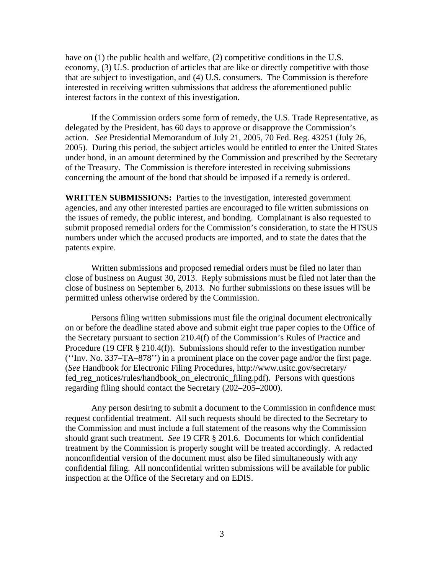have on (1) the public health and welfare, (2) competitive conditions in the U.S. economy, (3) U.S. production of articles that are like or directly competitive with those that are subject to investigation, and (4) U.S. consumers. The Commission is therefore interested in receiving written submissions that address the aforementioned public interest factors in the context of this investigation.

 If the Commission orders some form of remedy, the U.S. Trade Representative, as delegated by the President, has 60 days to approve or disapprove the Commission's action. *See* Presidential Memorandum of July 21, 2005, 70 Fed. Reg. 43251 (July 26, 2005). During this period, the subject articles would be entitled to enter the United States under bond, in an amount determined by the Commission and prescribed by the Secretary of the Treasury. The Commission is therefore interested in receiving submissions concerning the amount of the bond that should be imposed if a remedy is ordered.

**WRITTEN SUBMISSIONS:** Parties to the investigation, interested government agencies, and any other interested parties are encouraged to file written submissions on the issues of remedy, the public interest, and bonding. Complainant is also requested to submit proposed remedial orders for the Commission's consideration, to state the HTSUS numbers under which the accused products are imported, and to state the dates that the patents expire.

 Written submissions and proposed remedial orders must be filed no later than close of business on August 30, 2013. Reply submissions must be filed not later than the close of business on September 6, 2013. No further submissions on these issues will be permitted unless otherwise ordered by the Commission.

 Persons filing written submissions must file the original document electronically on or before the deadline stated above and submit eight true paper copies to the Office of the Secretary pursuant to section 210.4(f) of the Commission's Rules of Practice and Procedure (19 CFR § 210.4(f)). Submissions should refer to the investigation number (''Inv. No. 337–TA–878'') in a prominent place on the cover page and/or the first page. (*See* Handbook for Electronic Filing Procedures, http://www.usitc.gov/secretary/ fed\_reg\_notices/rules/handbook\_on\_electronic\_filing.pdf). Persons with questions regarding filing should contact the Secretary (202–205–2000).

Any person desiring to submit a document to the Commission in confidence must request confidential treatment. All such requests should be directed to the Secretary to the Commission and must include a full statement of the reasons why the Commission should grant such treatment. *See* 19 CFR § 201.6. Documents for which confidential treatment by the Commission is properly sought will be treated accordingly. A redacted nonconfidential version of the document must also be filed simultaneously with any confidential filing. All nonconfidential written submissions will be available for public inspection at the Office of the Secretary and on EDIS.